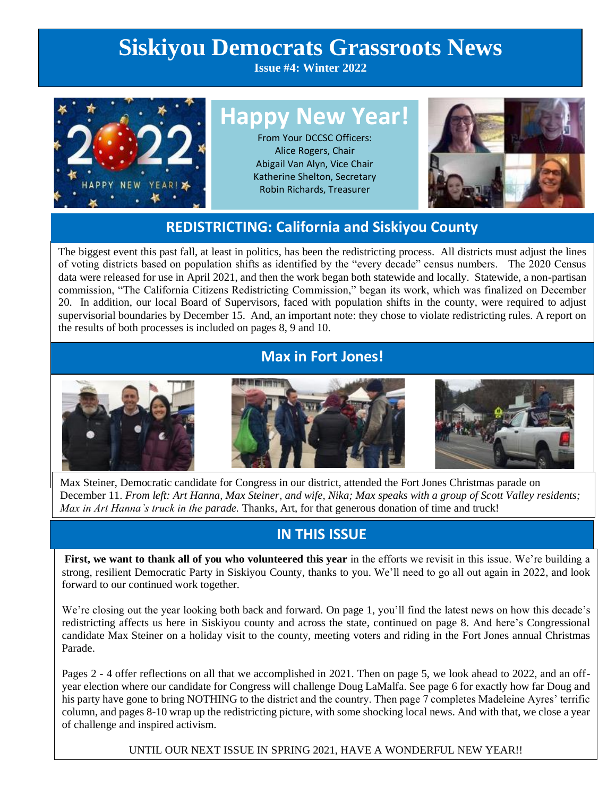# **Siskiyou Democrats Grassroots News**

**Issue #4: Winter 2022**



# **Happy New Year!**

From Your DCCSC Officers: Alice Rogers, Chair Abigail Van Alyn, Vice Chair Katherine Shelton, Secretary Robin Richards, Treasurer



### **REDISTRICTING: California and Siskiyou County**

The biggest event this past fall, at least in politics, has been the redistricting process. All districts must adjust the lines of voting districts based on population shifts as identified by the "every decade" census numbers. The 2020 Census data were released for use in April 2021, and then the work began both statewide and locally. Statewide, a non-partisan commission, "The California Citizens Redistricting Commission," began its work, which was finalized on December 20. In addition, our local Board of Supervisors, faced with population shifts in the county, were required to adjust supervisorial boundaries by December 15. And, an important note: they chose to violate redistricting rules. A report on the results of both processes is included on pages 8, 9 and 10.

### **Max in Fort Jones!**



Max Steiner, Democratic candidate for Congress in our district, attended the Fort Jones Christmas parade on December 11. *From left: Art Hanna, Max Steiner, and wife, Nika; Max speaks with a group of Scott Valley residents; Max in Art Hanna's truck in the parade.* Thanks, Art, for that generous donation of time and truck!

# **IN THIS ISSUE**

**First, we want to thank all of you who volunteered this year** in the efforts we revisit in this issue. We're building a strong, resilient Democratic Party in Siskiyou County, thanks to you. We'll need to go all out again in 2022, and look forward to our continued work together.

We're closing out the year looking both back and forward. On page 1, you'll find the latest news on how this decade's redistricting affects us here in Siskiyou county and across the state, continued on page 8. And here's Congressional candidate Max Steiner on a holiday visit to the county, meeting voters and riding in the Fort Jones annual Christmas Parade.

Pages 2 - 4 offer reflections on all that we accomplished in 2021. Then on page 5, we look ahead to 2022, and an offyear election where our candidate for Congress will challenge Doug LaMalfa. See page 6 for exactly how far Doug and his party have gone to bring NOTHING to the district and the country. Then page 7 completes Madeleine Ayres' terrific column, and pages 8-10 wrap up the redistricting picture, with some shocking local news. And with that, we close a year of challenge and inspired activism.

UNTIL OUR NEXT ISSUE IN SPRING 2021, HAVE A WONDERFUL NEW YEAR!!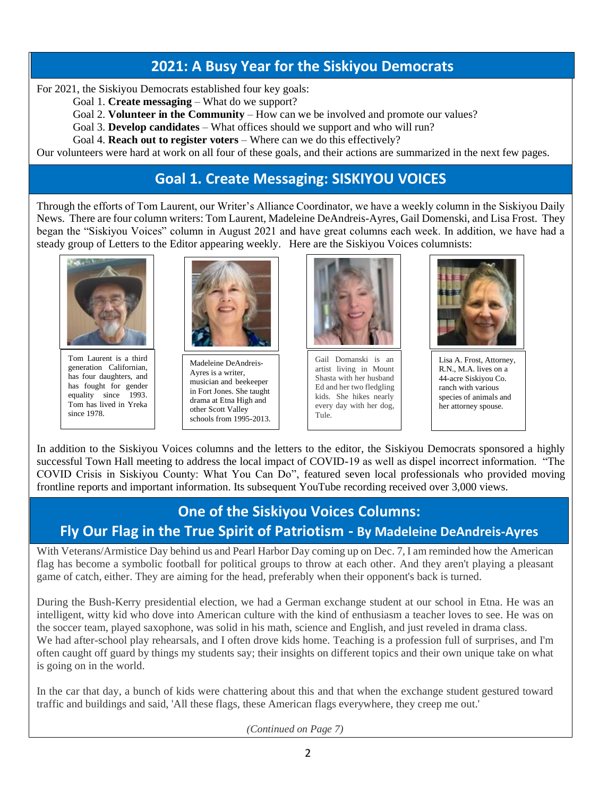## **2021: A Busy Year for the Siskiyou Democrats**

For 2021, the Siskiyou Democrats established four key goals:

- Goal 1. **Create messaging** What do we support?
- Goal 2. **Volunteer in the Community** How can we be involved and promote our values?
- Goal 3. **Develop candidates** What offices should we support and who will run?
- Goal 4. **Reach out to register voters** Where can we do this effectively?

Our volunteers were hard at work on all four of these goals, and their actions are summarized in the next few pages.

# **Goal 1. Create Messaging: SISKIYOU VOICES**

Through the efforts of Tom Laurent, our Writer's Alliance Coordinator, we have a weekly column in the Siskiyou Daily News. There are four column writers: Tom Laurent, Madeleine DeAndreis-Ayres, Gail Domenski, and Lisa Frost. They began the "Siskiyou Voices" column in August 2021 and have great columns each week. In addition, we have had a steady group of Letters to the Editor appearing weekly. Here are the Siskiyou Voices columnists:



Tom Laurent is a third generation Californian, has four daughters, and has fought for gender equality since 1993. Tom has lived in Yreka since 1978.



Madeleine DeAndreis-Ayres is a writer, musician and beekeeper in Fort Jones. She taught drama at Etna High and other Scott Valley schools from 1995-2013.



Gail Domanski is an artist living in Mount Shasta with her husband Ed and her two fledgling kids. She hikes nearly every day with her dog, Tule.



Lisa A. Frost, Attorney, R.N., M.A. lives on a 44-acre Siskiyou Co. ranch with various species of animals and her attorney spouse.

In addition to the Siskiyou Voices columns and the letters to the editor, the Siskiyou Democrats sponsored a highly successful Town Hall meeting to address the local impact of COVID-19 as well as dispel incorrect information. "The COVID Crisis in Siskiyou County: What You Can Do", featured seven local professionals who provided moving frontline reports and important information. Its subsequent YouTube recording received over 3,000 views.

# **One of the Siskiyou Voices Columns: Fly Our Flag in the True Spirit of Patriotism - By Madeleine DeAndreis-Ayres**

With Veterans/Armistice Day behind us and Pearl Harbor Day coming up on Dec. 7, I am reminded how the American flag has become a symbolic football for political groups to throw at each other. And they aren't playing a pleasant game of catch, either. They are aiming for the head, preferably when their opponent's back is turned.

During the Bush-Kerry presidential election, we had a German exchange student at our school in Etna. He was an intelligent, witty kid who dove into American culture with the kind of enthusiasm a teacher loves to see. He was on the soccer team, played saxophone, was solid in his math, science and English, and just reveled in drama class. We had after-school play rehearsals, and I often drove kids home. Teaching is a profession full of surprises, and I'm often caught off guard by things my students say; their insights on different topics and their own unique take on what is going on in the world.

In the car that day, a bunch of kids were chattering about this and that when the exchange student gestured toward traffic and buildings and said, 'All these flags, these American flags everywhere, they creep me out.'

*(Continued on Page 7)*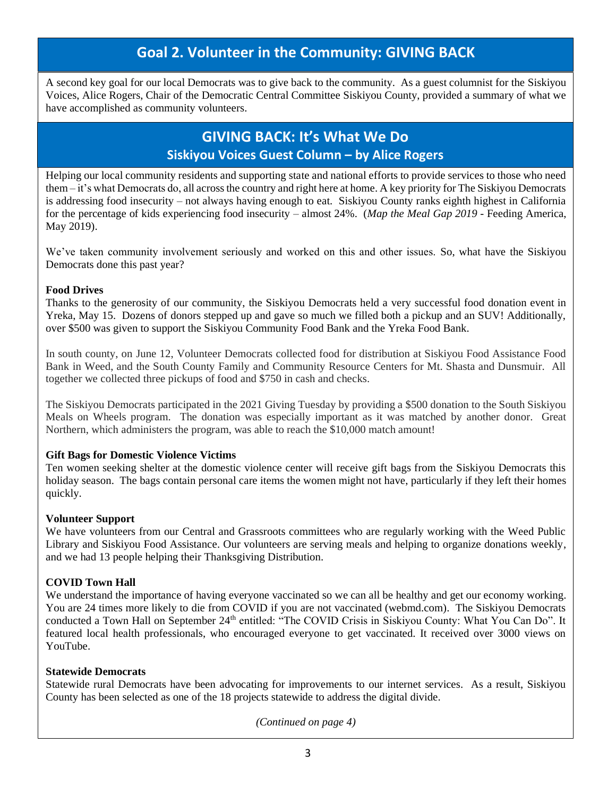# **Goal 2. Volunteer in the Community: GIVING BACK**

A second key goal for our local Democrats was to give back to the community. As a guest columnist for the Siskiyou Voices, Alice Rogers, Chair of the Democratic Central Committee Siskiyou County, provided a summary of what we have accomplished as community volunteers.

# **GIVING BACK: It's What We Do Siskiyou Voices Guest Column – by Alice Rogers**

Helping our local community residents and supporting state and national efforts to provide services to those who need them – it's what Democrats do, all across the country and right here at home. A key priority for The Siskiyou Democrats is addressing food insecurity – not always having enough to eat. Siskiyou County ranks eighth highest in California for the percentage of kids experiencing food insecurity – almost 24%. (*[Map the Meal Gap 2019](https://map.feedingamerica.org/)* - Feeding America, May 2019).

We've taken community involvement seriously and worked on this and other issues. So, what have the Siskiyou Democrats done this past year?

#### **Food Drives**

Thanks to the generosity of our community, the Siskiyou Democrats held a very successful food donation event in Yreka, May 15. Dozens of donors stepped up and gave so much we filled both a pickup and an SUV! Additionally, over \$500 was given to support the Siskiyou Community Food Bank and the Yreka Food Bank.

In south county, on June 12, Volunteer Democrats collected food for distribution at Siskiyou Food Assistance Food Bank in Weed, and the South County Family and Community Resource Centers for Mt. Shasta and Dunsmuir. All together we collected three pickups of food and \$750 in cash and checks.

The Siskiyou Democrats participated in the 2021 Giving Tuesday by providing a \$500 donation to the South Siskiyou Meals on Wheels program. The donation was especially important as it was matched by another donor. Great Northern, which administers the program, was able to reach the \$10,000 match amount!

### **Gift Bags for Domestic Violence Victims**

Ten women seeking shelter at the domestic violence center will receive gift bags from the Siskiyou Democrats this holiday season. The bags contain personal care items the women might not have, particularly if they left their homes quickly.

#### **Volunteer Support**

We have volunteers from our Central and Grassroots committees who are regularly working with the Weed Public Library and Siskiyou Food Assistance. Our volunteers are serving meals and helping to organize donations weekly, and we had 13 people helping their Thanksgiving Distribution.

### **COVID Town Hall**

We understand the importance of having everyone vaccinated so we can all be healthy and get our economy working. You are 24 times more likely to die from COVID if you are not vaccinated (webmd.com). The Siskiyou Democrats conducted a Town Hall on September 24<sup>th</sup> entitled: "The COVID Crisis in Siskiyou County: What You Can Do". It featured local health professionals, who encouraged everyone to get vaccinated. It received over 3000 views on YouTube.

#### **Statewide Democrats**

Statewide rural Democrats have been advocating for improvements to our internet services. As a result, Siskiyou County has been selected as one of the 18 projects statewide to address the digital divide.

*(Continued on page 4)*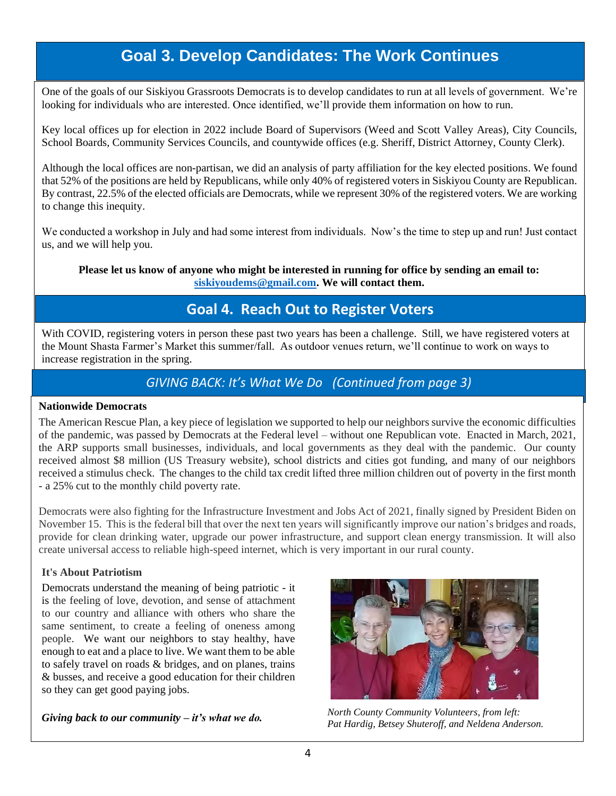# **Goal 3. Develop Candidates: The Work Continues**

One of the goals of our Siskiyou Grassroots Democrats is to develop candidates to run at all levels of government. We're looking for individuals who are interested. Once identified, we'll provide them information on how to run.

Key local offices up for election in 2022 include Board of Supervisors (Weed and Scott Valley Areas), City Councils, School Boards, Community Services Councils, and countywide offices (e.g. Sheriff, District Attorney, County Clerk).

Although the local offices are non-partisan, we did an analysis of party affiliation for the key elected positions. We found that 52% of the positions are held by Republicans, while only 40% of registered voters in Siskiyou County are Republican. By contrast, 22.5% of the elected officials are Democrats, while we represent 30% of the registered voters. We are working to change this inequity.

We conducted a workshop in July and had some interest from individuals. Now's the time to step up and run! Just contact us, and we will help you.

**Please let us know of anyone who might be interested in running for office by sending an email to: [siskiyoudems@gmail.com.](mailto:siskiyoudems@gmail.com) We will contact them.**

### **Goal 4. Reach Out to Register Voters**

With COVID, registering voters in person these past two years has been a challenge. Still, we have registered voters at the Mount Shasta Farmer's Market this summer/fall. As outdoor venues return, we'll continue to work on ways to increase registration in the spring.

### *GIVING BACK: It's What We Do (Continued from page 3)*

#### **Nationwide Democrats**

The American Rescue Plan, a key piece of legislation we supported to help our neighbors survive the economic difficulties of the pandemic, was passed by Democrats at the Federal level – without one Republican vote. Enacted in March, 2021, the ARP supports small businesses, individuals, and local governments as they deal with the pandemic. Our county received almost \$8 million (US Treasury website), school districts and cities got funding, and many of our neighbors received a stimulus check. The changes to the child tax credit lifted three million children out of poverty in the first month - a 25% cut to the monthly child poverty rate.

Democrats were also fighting for the Infrastructure Investment and Jobs Act of 2021, finally signed by President Biden on November 15. This is the federal bill that over the next ten years will significantly improve our nation's bridges and roads, provide for clean drinking water, upgrade our power infrastructure, and support clean energy transmission. It will also create universal access to reliable high-speed internet, which is very important in our rural county.

#### **It's About Patriotism**

Democrats understand the meaning of being patriotic - it is the feeling of love, devotion, and sense of attachment to our country and alliance with others who share the same sentiment, to create a feeling of oneness among people. We want our neighbors to stay healthy, have enough to eat and a place to live. We want them to be able to safely travel on roads & bridges, and on planes, trains & busses, and receive a good education for their children so they can get good paying jobs.



*Giving back to our community – it's what we do.* Morth County Community Volunteers, from left: **Giving back** to our community – it's what we do. *Pat Hardig, Betsey Shuteroff, and Neldena Anderson.*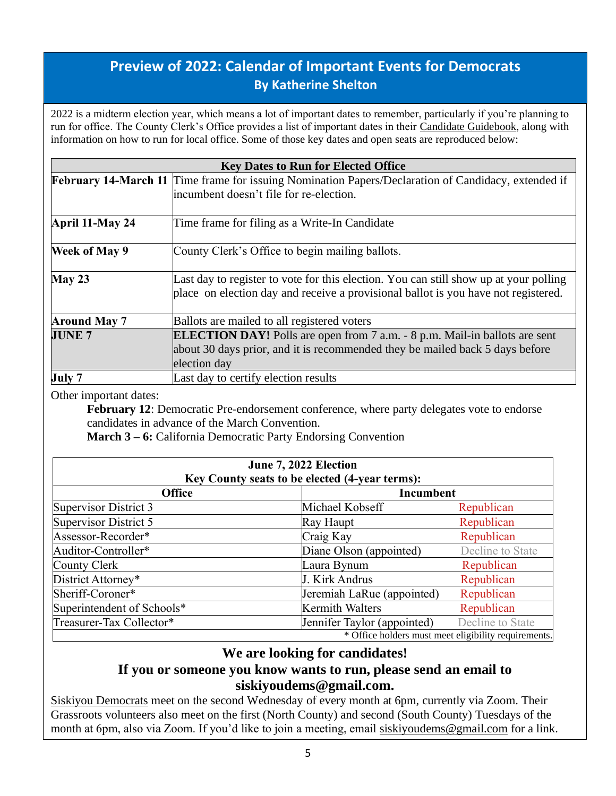# **Preview of 2022: Calendar of Important Events for Democrats By Katherine Shelton**

2022 is a midterm election year, which means a lot of important dates to remember, particularly if you're planning to run for office. The County Clerk's Office provides a list of important dates in their [Candidate Guidebook,](https://www.co.siskiyou.ca.us/elections/page/current-election) along with information on how to run for local office. Some of those key dates and open seats are reproduced below:

| <b>Key Dates to Run for Elected Office</b> |                                                                                                                                                                                   |  |  |
|--------------------------------------------|-----------------------------------------------------------------------------------------------------------------------------------------------------------------------------------|--|--|
|                                            | February 14-March 11 Time frame for issuing Nomination Papers/Declaration of Candidacy, extended if                                                                               |  |  |
|                                            | incumbent doesn't file for re-election.                                                                                                                                           |  |  |
| April 11-May 24                            | Time frame for filing as a Write-In Candidate                                                                                                                                     |  |  |
| <b>Week of May 9</b>                       | County Clerk's Office to begin mailing ballots.                                                                                                                                   |  |  |
| May 23                                     | Last day to register to vote for this election. You can still show up at your polling<br>place on election day and receive a provisional ballot is you have not registered.       |  |  |
| <b>Around May 7</b>                        | Ballots are mailed to all registered voters                                                                                                                                       |  |  |
| <b>JUNE 7</b>                              | <b>ELECTION DAY!</b> Polls are open from 7 a.m. - 8 p.m. Mail-in ballots are sent<br>about 30 days prior, and it is recommended they be mailed back 5 days before<br>election day |  |  |
| July 7                                     | Last day to certify election results                                                                                                                                              |  |  |

Other important dates:

February 12: Democratic Pre-endorsement conference, where party delegates vote to endorse candidates in advance of the March Convention.

**March 3 – 6:** California Democratic Party Endorsing Convention

| June 7, 2022 Election<br>Key County seats to be elected (4-year terms): |                             |                  |  |
|-------------------------------------------------------------------------|-----------------------------|------------------|--|
| <b>Office</b><br>Incumbent                                              |                             |                  |  |
| Supervisor District 3                                                   | Michael Kobseff             | Republican       |  |
| Supervisor District 5                                                   | Ray Haupt                   | Republican       |  |
| Assessor-Recorder*                                                      | Craig Kay                   | Republican       |  |
| Auditor-Controller*                                                     | Diane Olson (appointed)     | Decline to State |  |
| County Clerk                                                            | Laura Bynum                 | Republican       |  |
| District Attorney*                                                      | J. Kirk Andrus              | Republican       |  |
| Sheriff-Coroner*                                                        | Jeremiah LaRue (appointed)  | Republican       |  |
| Superintendent of Schools*                                              | <b>Kermith Walters</b>      | Republican       |  |
| Treasurer-Tax Collector*                                                | Jennifer Taylor (appointed) | Decline to State |  |
| * Office holders must meet eligibility requirements.                    |                             |                  |  |

### **We are looking for candidates! If you or someone you know wants to run, please send an email to**

### **siskiyoudems@gmail.com.**

[Siskiyou Democrats](https://www.siskiyoudemocrats.org/) meet on the second Wednesday of every month at 6pm, currently via Zoom. Their Grassroots volunteers also meet on the first (North County) and second (South County) Tuesdays of the month at 6pm, also via Zoom. If you'd like to join a meeting, email [siskiyoudems@gmail.com](mailto:siskiyoudems@gmail.com) for a link.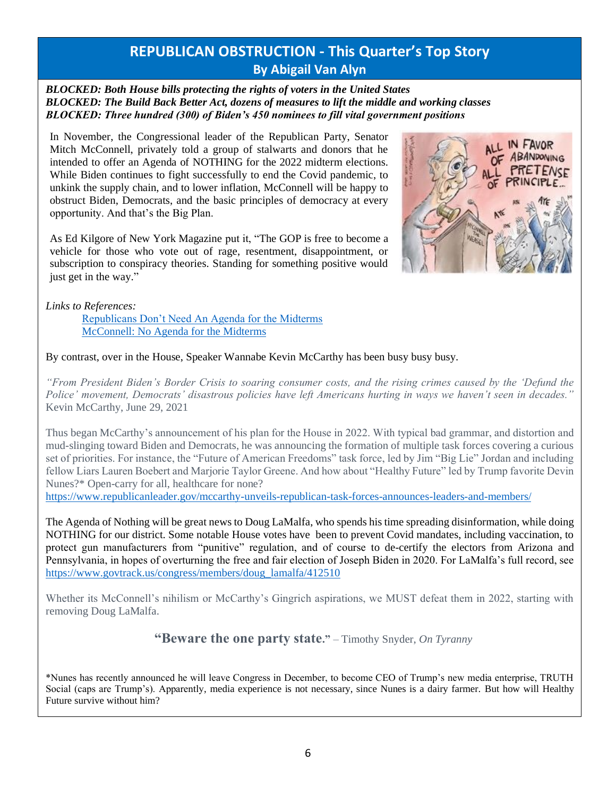### **REPUBLICAN OBSTRUCTION - This Quarter's Top Story By Abigail Van Alyn**

*BLOCKED: Both House bills protecting the rights of voters in the United States BLOCKED: The Build Back Better Act, dozens of measures to lift the middle and working classes BLOCKED: Three hundred (300) of Biden's 450 nominees to fill vital government positions*

In November, the Congressional leader of the Republican Party, Senator Mitch McConnell, privately told a group of stalwarts and donors that he intended to offer an Agenda of NOTHING for the 2022 midterm elections. While Biden continues to fight successfully to end the Covid pandemic, to unkink the supply chain, and to lower inflation, McConnell will be happy to obstruct Biden, Democrats, and the basic principles of democracy at every opportunity. And that's the Big Plan.

As Ed Kilgore of New York Magazine put it, "The GOP is free to become a vehicle for those who vote out of rage, resentment, disappointment, or subscription to conspiracy theories. Standing for something positive would just get in the way."



*Links to References:*

[Republicans Don't Need An Agenda for the Midterms](https://nymag.com/intelligencer/2021/12/mcconnell-republicans-dont-need-an-agenda-for-the-midterms.html) [McConnell: No Agenda for the Midterms](https://www.axios.com/mcconnell-no-agenda-midterms-91c73112-0a2e-441b-b713-7e8aa2dad6bf.html)

By contrast, over in the House, Speaker Wannabe Kevin McCarthy has been busy busy busy.

*"From President Biden's Border Crisis to soaring consumer costs, and the rising crimes caused by the 'Defund the Police' movement, Democrats' disastrous policies have left Americans hurting in ways we haven't seen in decades."*  Kevin McCarthy, June 29, 2021

Thus began McCarthy's announcement of his plan for the House in 2022. With typical bad grammar, and distortion and mud-slinging toward Biden and Democrats, he was announcing the formation of multiple task forces covering a curious set of priorities. For instance, the "Future of American Freedoms" task force, led by Jim "Big Lie" Jordan and including fellow Liars Lauren Boebert and Marjorie Taylor Greene. And how about "Healthy Future" led by Trump favorite Devin Nunes?\* Open-carry for all, healthcare for none?

<https://www.republicanleader.gov/mccarthy-unveils-republican-task-forces-announces-leaders-and-members/>

The Agenda of Nothing will be great news to Doug LaMalfa, who spends his time spreading disinformation, while doing NOTHING for our district. Some notable House votes have been to prevent Covid mandates, including vaccination, to protect gun manufacturers from "punitive" regulation, and of course to de-certify the electors from Arizona and Pennsylvania, in hopes of overturning the free and fair election of Joseph Biden in 2020. For LaMalfa's full record, see [https://www.govtrack.us/congress/members/doug\\_lamalfa/412510](https://www.govtrack.us/congress/members/doug_lamalfa/412510)

Whether its McConnell's nihilism or McCarthy's Gingrich aspirations, we MUST defeat them in 2022, starting with removing Doug LaMalfa.

**"Beware the one party state."** – Timothy Snyder, *On Tyranny*

\*Nunes has recently announced he will leave Congress in December, to become CEO of Trump's new media enterprise, TRUTH Social (caps are Trump's). Apparently, media experience is not necessary, since Nunes is a dairy farmer. But how will Healthy Future survive without him?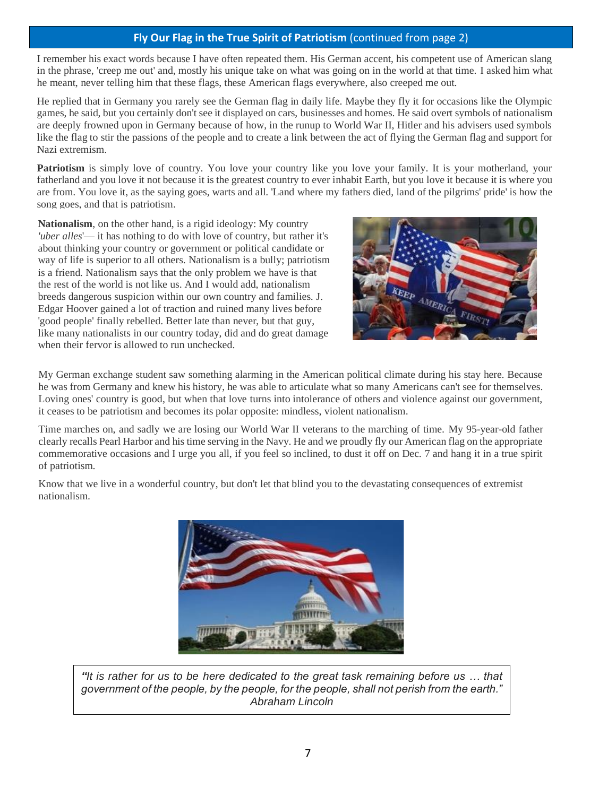### **Fly Our Flag in the True Spirit of Patriotism** (continued from page 2)

I remember his exact words because I have often repeated them. His German accent, his competent use of American slang in the phrase, 'creep me out' and, mostly his unique take on what was going on in the world at that time. I asked him what he meant, never telling him that these flags, these American flags everywhere, also creeped me out.

He replied that in Germany you rarely see the German flag in daily life. Maybe they fly it for occasions like the Olympic games, he said, but you certainly don't see it displayed on cars, businesses and homes. He said overt symbols of nationalism are deeply frowned upon in Germany because of how, in the runup to World War II, Hitler and his advisers used symbols like the flag to stir the passions of the people and to create a link between the act of flying the German flag and support for Nazi extremism.

**Patriotism** is simply love of country. You love your country like you love your family. It is your motherland, your fatherland and you love it not because it is the greatest country to ever inhabit Earth, but you love it because it is where you are from. You love it, as the saying goes, warts and all. 'Land where my fathers died, land of the pilgrims' pride' is how the song goes, and that is patriotism.

**Nationalism**, on the other hand, is a rigid ideology: My country *'uber alles*'— it has nothing to do with love of country, but rather it's about thinking your country or government or political candidate or way of life is superior to all others. Nationalism is a bully; patriotism is a friend. Nationalism says that the only problem we have is that the rest of the world is not like us. And I would add, nationalism breeds dangerous suspicion within our own country and families. J. Edgar Hoover gained a lot of traction and ruined many lives before 'good people' finally rebelled. Better late than never, but that guy, like many nationalists in our country today, did and do great damage when their fervor is allowed to run unchecked.



My German exchange student saw something alarming in the American political climate during his stay here. Because he was from Germany and knew his history, he was able to articulate what so many Americans can't see for themselves. Loving ones' country is good, but when that love turns into intolerance of others and violence against our government, it ceases to be patriotism and becomes its polar opposite: mindless, violent nationalism.

Time marches on, and sadly we are losing our World War II veterans to the marching of time. My 95-year-old father clearly recalls Pearl Harbor and his time serving in the Navy. He and we proudly fly our American flag on the appropriate commemorative occasions and I urge you all, if you feel so inclined, to dust it off on Dec. 7 and hang it in a true spirit of patriotism.

Know that we live in a wonderful country, but don't let that blind you to the devastating consequences of extremist nationalism.



*"It is rather for us to be here dedicated to the great task remaining before us … that government of the people, by the people, for the people, shall not perish from the earth." Abraham Lincoln*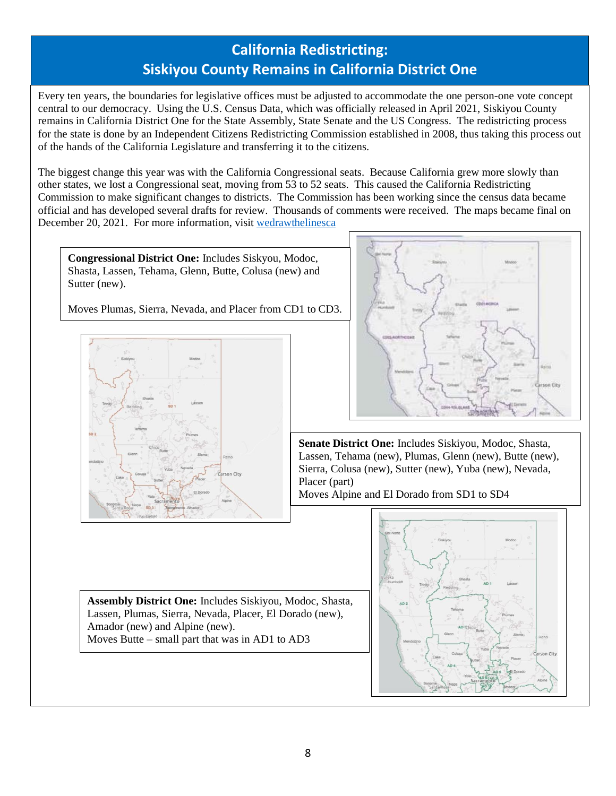# **California Redistricting: Siskiyou County Remains in California District One**

Every ten years, the boundaries for legislative offices must be adjusted to accommodate the one person-one vote concept central to our democracy. Using the U.S. Census Data, which was officially released in April 2021, Siskiyou County remains in California District One for the State Assembly, State Senate and the US Congress. The redistricting process for the state is done by an Independent Citizens Redistricting Commission established in 2008, thus taking this process out of the hands of the California Legislature and transferring it to the citizens.

The biggest change this year was with the California Congressional seats. Because California grew more slowly than other states, we lost a Congressional seat, moving from 53 to 52 seats. This caused the California Redistricting Commission to make significant changes to districts. The Commission has been working since the census data became official and has developed several drafts for review. Thousands of comments were received. The maps became final on December 20, 2021. For more information, visit [wedrawthelinesca](https://www.wedrawthelinesca.org/final_maps)

**Congressional District One:** Includes Siskyou, Modoc, Shasta, Lassen, Tehama, Glenn, Butte, Colusa (new) and Sutter (new).

Moves Plumas, Sierra, Nevada, and Placer from CD1 to CD3.





**Senate District One:** Includes Siskiyou, Modoc, Shasta, Lassen, Tehama (new), Plumas, Glenn (new), Butte (new), Sierra, Colusa (new), Sutter (new), Yuba (new), Nevada, Placer (part)

Moves Alpine and El Dorado from SD1 to SD4



**Assembly District One:** Includes Siskiyou, Modoc, Shasta, Lassen, Plumas, Sierra, Nevada, Placer, El Dorado (new), Amador (new) and Alpine (new). Moves Butte – small part that was in AD1 to AD3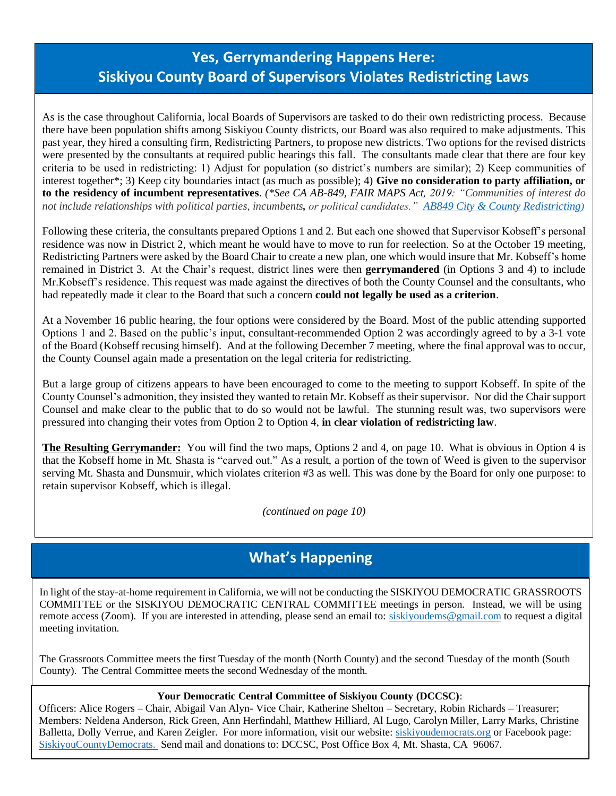# **Yes, Gerrymandering Happens Here: Siskiyou County Board of Supervisors Violates Redistricting Laws**

As is the case throughout California, local Boards of Supervisors are tasked to do their own redistricting process. Because there have been population shifts among Siskiyou County districts, our Board was also required to make adjustments. This past year, they hired a consulting firm, Redistricting Partners, to propose new districts. Two options for the revised districts were presented by the consultants at required public hearings this fall. The consultants made clear that there are four key criteria to be used in redistricting: 1) Adjust for population (so district's numbers are similar); 2) Keep communities of interest together\*; 3) Keep city boundaries intact (as much as possible); 4) **Give no consideration to party affiliation, or to the residency of incumbent representatives**. *(\*See CA AB-849, FAIR MAPS Act, 2019: "Communities of interest do not include relationships with political parties, incumbents, or political candidates." AB849 [City & County Redistricting](https://leginfo.legislature.ca.gov/faces/billNavClient.xhtml?bill_id=201920200AB849)[\)](https://leginfo.legislature.ca.gov/faces/billNavClient.xhtml?bill_id=201920200AB849)*

Following these criteria, the consultants prepared Options 1 and 2. But each one showed that Supervisor Kobseff's personal residence was now in District 2, which meant he would have to move to run for reelection. So at the October 19 meeting, Redistricting Partners were asked by the Board Chair to create a new plan, one which would insure that Mr. Kobseff's home remained in District 3. At the Chair's request, district lines were then **gerrymandered** (in Options 3 and 4) to include Mr.Kobseff's residence. This request was made against the directives of both the County Counsel and the consultants, who had repeatedly made it clear to the Board that such a concern **could not legally be used as a criterion**.

At a November 16 public hearing, the four options were considered by the Board. Most of the public attending supported Options 1 and 2. Based on the public's input, consultant-recommended Option 2 was accordingly agreed to by a 3-1 vote of the Board (Kobseff recusing himself). And at the following December 7 meeting, where the final approval was to occur, the County Counsel again made a presentation on the legal criteria for redistricting.

But a large group of citizens appears to have been encouraged to come to the meeting to support Kobseff. In spite of the County Counsel's admonition, they insisted they wanted to retain Mr. Kobseff as their supervisor. Nor did the Chair support Counsel and make clear to the public that to do so would not be lawful. The stunning result was, two supervisors were pressured into changing their votes from Option 2 to Option 4, **in clear violation of redistricting law**.

**The Resulting Gerrymander:** You will find the two maps, Options 2 and 4, on page 10. What is obvious in Option 4 is that the Kobseff home in Mt. Shasta is "carved out." As a result, a portion of the town of Weed is given to the supervisor serving Mt. Shasta and Dunsmuir, which violates criterion #3 as well. This was done by the Board for only one purpose: to retain supervisor Kobseff, which is illegal.

*(continued on page 10)*

### **What's Happening**

In light of the stay-at-home requirement in California, we will not be conducting the SISKIYOU DEMOCRATIC GRASSROOTS COMMITTEE or the SISKIYOU DEMOCRATIC CENTRAL COMMITTEE meetings in person. Instead, we will be using remote access (Zoom). If you are interested in attending, please send an email to: [siskiyoudems@gmail.com](mailto:siskiyoudems@gmail.com) to request a digital meeting invitation.

The Grassroots Committee meets the first Tuesday of the month (North County) and the second Tuesday of the month (South County). The Central Committee meets the second Wednesday of the month.

#### **Your Democratic Central Committee of Siskiyou County (DCCSC)**:

[SiskiyouCountyDemocrats.](https://www.facebook.com/SiskiyouCountyDemocrats/) Send mail and donations to: DCCSC, Post Office Box 4, Mt. Shasta, CA 96067. Officers: Alice Rogers – Chair, Abigail Van Alyn- Vice Chair, Katherine Shelton – Secretary, Robin Richards – Treasurer; Members: Neldena Anderson, Rick Green, Ann Herfindahl, Matthew Hilliard, Al Lugo, Carolyn Miller, Larry Marks, Christine Balletta, Dolly Verrue, and Karen Zeigler. For more information, visit our website: [siskiyoudemocrats.org](http://www.siskiyoudemocrats.org/) or Facebook page: